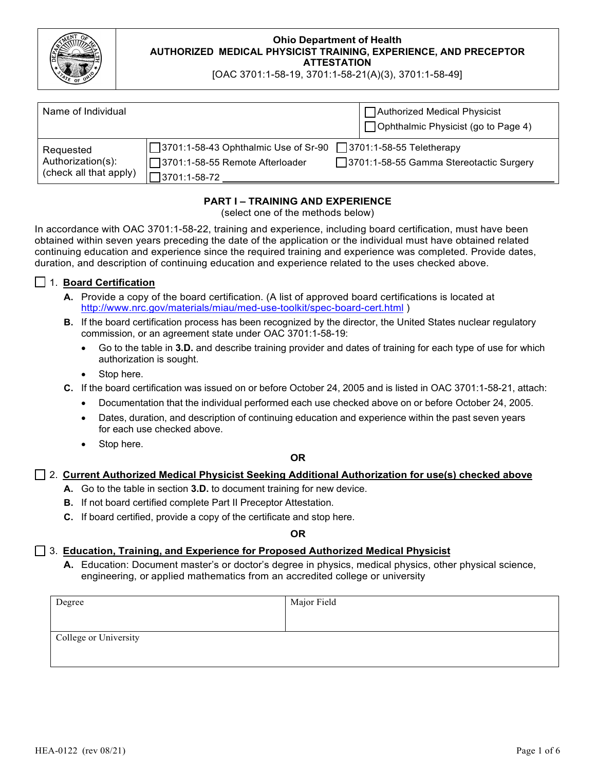

[OAC 3701:1-58-19, 3701:1-58-21(A)(3), 3701:1-58-49]

| Name of Individual                                       |                                                                                             | □ Authorized Medical Physicist<br>□ Ophthalmic Physicist (go to Page 4) |
|----------------------------------------------------------|---------------------------------------------------------------------------------------------|-------------------------------------------------------------------------|
| Requested<br>Authorization(s):<br>(check all that apply) | □ 3701:1-58-43 Ophthalmic Use of Sr-90<br> □3701:1-58-55 Remote Afterloader<br>3701:1-58-72 | 73701:1-58-55 Teletherapy<br>3701:1-58-55 Gamma Stereotactic Surgery    |

## **PART I – TRAINING AND EXPERIENCE**

(select one of the methods below)

In accordance with OAC 3701:1-58-22, training and experience, including board certification, must have been obtained within seven years preceding the date of the application or the individual must have obtained related continuing education and experience since the required training and experience was completed. Provide dates, duration, and description of continuing education and experience related to the uses checked above.

### ☐ 1. **Board Certification**

- **A.** Provide a copy of the board certification. (A list of approved board certifications is located at <http://www.nrc.gov/materials/miau/med-use-toolkit/spec-board-cert.html> )
- **B.** If the board certification process has been recognized by the director, the United States nuclear regulatory commission, or an agreement state under OAC 3701:1-58-19:
	- Go to the table in **3.D.** and describe training provider and dates of training for each type of use for which authorization is sought.
	- Stop here.
- **C.** If the board certification was issued on or before October 24, 2005 and is listed in OAC 3701:1-58-21, attach:
	- Documentation that the individual performed each use checked above on or before October 24, 2005.
	- Dates, duration, and description of continuing education and experience within the past seven years for each use checked above.
	- Stop here.

### **OR**

### ☐ 2. **Current Authorized Medical Physicist Seeking Additional Authorization for use(s) checked above**

- **A.** Go to the table in section **3.D.** to document training for new device.
- **B.** If not board certified complete Part II Preceptor Attestation.
- **C.** If board certified, provide a copy of the certificate and stop here.

**OR**

### ☐ 3. **Education, Training, and Experience for Proposed Authorized Medical Physicist**

**A.** Education: Document master's or doctor's degree in physics, medical physics, other physical science, engineering, or applied mathematics from an accredited college or university

| Degree                | Major Field |
|-----------------------|-------------|
|                       |             |
| College or University |             |
|                       |             |
|                       |             |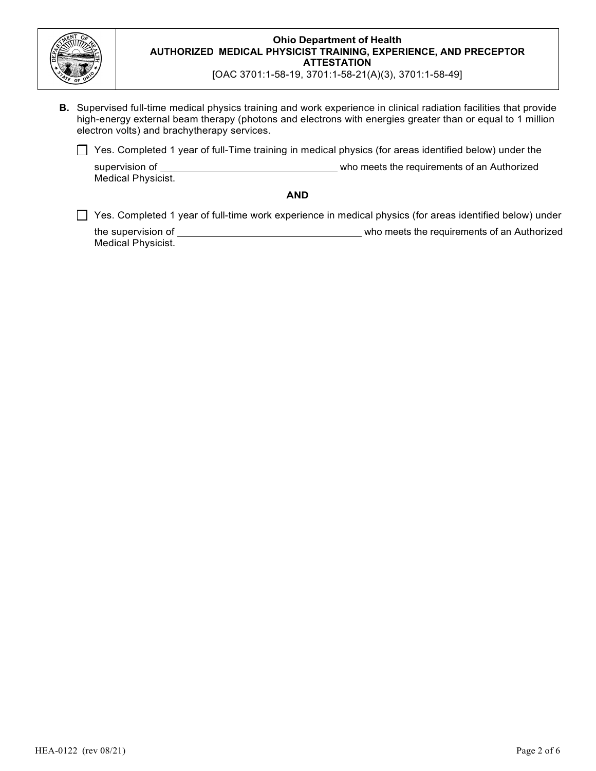

[OAC 3701:1-58-19, 3701:1-58-21(A)(3), 3701:1-58-49]

**B.** Supervised full-time medical physics training and work experience in clinical radiation facilities that provide high-energy external beam therapy (photons and electrons with energies greater than or equal to 1 million electron volts) and brachytherapy services.

□ Yes. Completed 1 year of full-Time training in medical physics (for areas identified below) under the

supervision of who meets the requirements of an Authorized Medical Physicist.

#### **AND**

□ Yes. Completed 1 year of full-time work experience in medical physics (for areas identified below) under

the supervision of who meets the requirements of an Authorized Medical Physicist.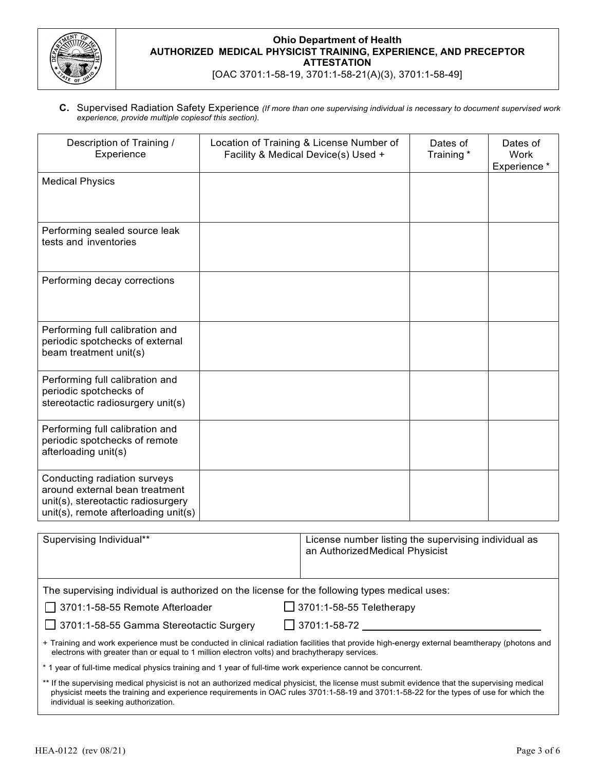

[OAC 3701:1-58-19, 3701:1-58-21(A)(3), 3701:1-58-49]

**C.** Supervised Radiation Safety Experience *(If more than one supervising individual is necessary to document supervised work experience, provide multiple copiesof this section).*

| Description of Training /<br>Experience                                                                                                      | Location of Training & License Number of<br>Facility & Medical Device(s) Used + | Dates of<br>Training*                                                                  | Dates of<br><b>Work</b><br>Experience * |  |
|----------------------------------------------------------------------------------------------------------------------------------------------|---------------------------------------------------------------------------------|----------------------------------------------------------------------------------------|-----------------------------------------|--|
| <b>Medical Physics</b>                                                                                                                       |                                                                                 |                                                                                        |                                         |  |
| Performing sealed source leak<br>tests and inventories                                                                                       |                                                                                 |                                                                                        |                                         |  |
| Performing decay corrections                                                                                                                 |                                                                                 |                                                                                        |                                         |  |
| Performing full calibration and<br>periodic spotchecks of external<br>beam treatment unit(s)                                                 |                                                                                 |                                                                                        |                                         |  |
| Performing full calibration and<br>periodic spotchecks of<br>stereotactic radiosurgery unit(s)                                               |                                                                                 |                                                                                        |                                         |  |
| Performing full calibration and<br>periodic spotchecks of remote<br>afterloading unit(s)                                                     |                                                                                 |                                                                                        |                                         |  |
| Conducting radiation surveys<br>around external bean treatment<br>unit(s), stereotactic radiosurgery<br>unit(s), remote afterloading unit(s) |                                                                                 |                                                                                        |                                         |  |
| Supervising Individual**                                                                                                                     |                                                                                 | License number listing the supervising individual as<br>an AuthorizedMedical Physicist |                                         |  |

The supervising individual is authorized on the license for the following types medical uses:

☐ 3701:1-58-55 Remote Afterloader ☐ 3701:1-58-55 Teletherapy

☐ 3701:1-58-55 Gamma Stereotactic Surgery ☐ 3701:1-58-72

+ Training and work experience must be conducted in clinical radiation facilities that provide high-energy external beamtherapy (photons and electrons with greater than or equal to 1 million electron volts) and brachytherapy services.

\* 1 year of full-time medical physics training and 1 year of full-time work experience cannot be concurrent.

\*\* If the supervising medical physicist is not an authorized medical physicist, the license must submit evidence that the supervising medical physicist meets the training and experience requirements in OAC rules 3701:1-58-19 and 3701:1-58-22 for the types of use for which the individual is seeking authorization.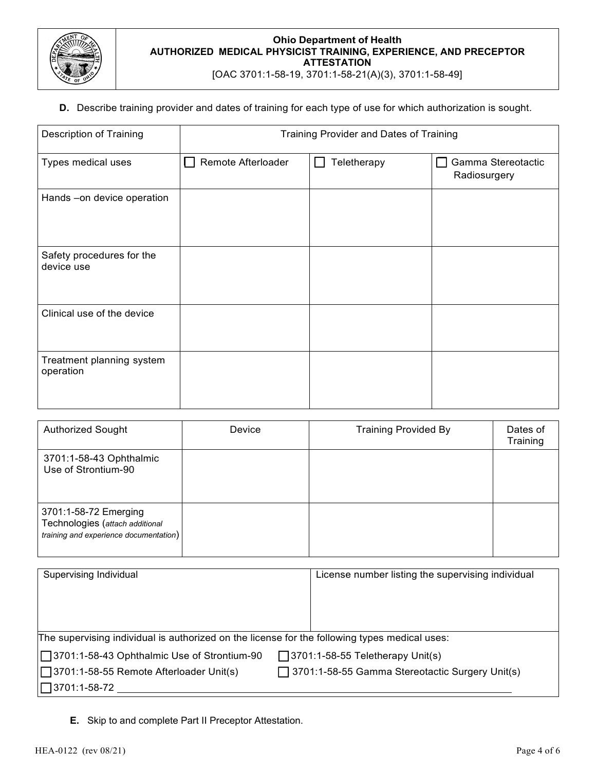

[OAC 3701:1-58-19, 3701:1-58-21(A)(3), 3701:1-58-49]

## **D.** Describe training provider and dates of training for each type of use for which authorization is sought.

| <b>Description of Training</b>          | Training Provider and Dates of Training |             |                                    |
|-----------------------------------------|-----------------------------------------|-------------|------------------------------------|
| Types medical uses                      | Remote Afterloader                      | Teletherapy | Gamma Stereotactic<br>Radiosurgery |
| Hands - on device operation             |                                         |             |                                    |
| Safety procedures for the<br>device use |                                         |             |                                    |
| Clinical use of the device              |                                         |             |                                    |
| Treatment planning system<br>operation  |                                         |             |                                    |

| <b>Authorized Sought</b>                                                                           | Device | <b>Training Provided By</b> | Dates of<br>Training |
|----------------------------------------------------------------------------------------------------|--------|-----------------------------|----------------------|
| 3701:1-58-43 Ophthalmic<br>Use of Strontium-90                                                     |        |                             |                      |
| 3701:1-58-72 Emerging<br>Technologies (attach additional<br>training and experience documentation) |        |                             |                      |

| Supervising Individual                                                                        | License number listing the supervising individual |  |  |
|-----------------------------------------------------------------------------------------------|---------------------------------------------------|--|--|
|                                                                                               |                                                   |  |  |
|                                                                                               |                                                   |  |  |
|                                                                                               |                                                   |  |  |
| The supervising individual is authorized on the license for the following types medical uses: |                                                   |  |  |
| □ 3701:1-58-43 Ophthalmic Use of Strontium-90                                                 | $\Box$ 3701:1-58-55 Teletherapy Unit(s)           |  |  |
| □ 3701:1-58-55 Remote Afterloader Unit(s)                                                     | □ 3701:1-58-55 Gamma Stereotactic Surgery Unit(s) |  |  |
| $\Box$ 3701:1-58-72                                                                           |                                                   |  |  |

**E.** Skip to and complete Part II Preceptor Attestation.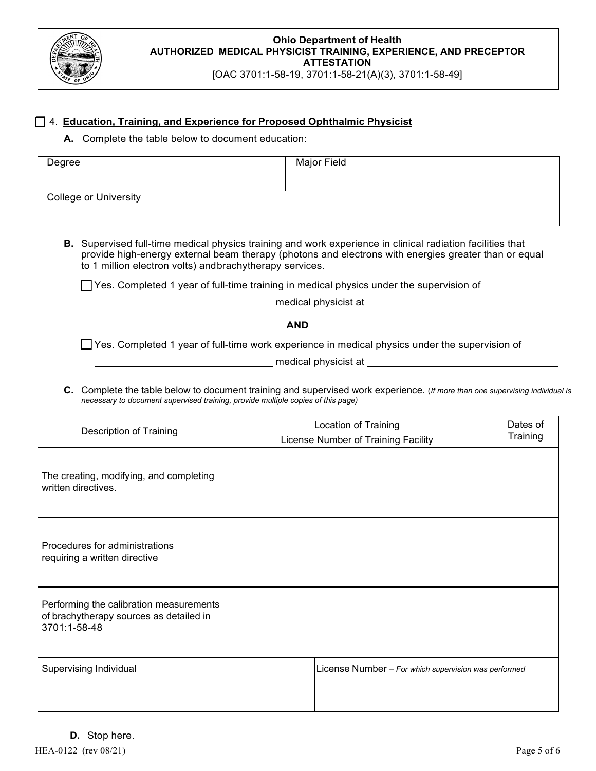

[OAC 3701:1-58-19, 3701:1-58-21(A)(3), 3701:1-58-49]

### ☐ 4. **Education, Training, and Experience for Proposed Ophthalmic Physicist**

**A.** Complete the table below to document education:

| Degree                       | Major Field |
|------------------------------|-------------|
| <b>College or University</b> |             |

**B.** Supervised full-time medical physics training and work experience in clinical radiation facilities that provide high-energy external beam therapy (photons and electrons with energies greater than or equal to 1 million electron volts) andbrachytherapy services.

☐Yes. Completed 1 year of full-time training in medical physics under the supervision of

medical physicist at

**AND**

☐Yes. Completed 1 year of full-time work experience in medical physics under the supervision of

medical physicist at

**C.** Complete the table below to document training and supervised work experience. (*If more than one supervising individual is necessary to document supervised training, provide multiple copies of this page)*

| Description of Training                                                                            | Location of Training<br>License Number of Training Facility | Dates of<br>Training |
|----------------------------------------------------------------------------------------------------|-------------------------------------------------------------|----------------------|
| The creating, modifying, and completing<br>written directives.                                     |                                                             |                      |
| Procedures for administrations<br>requiring a written directive                                    |                                                             |                      |
| Performing the calibration measurements<br>of brachytherapy sources as detailed in<br>3701:1-58-48 |                                                             |                      |
| Supervising Individual                                                                             | License Number - For which supervision was performed        |                      |